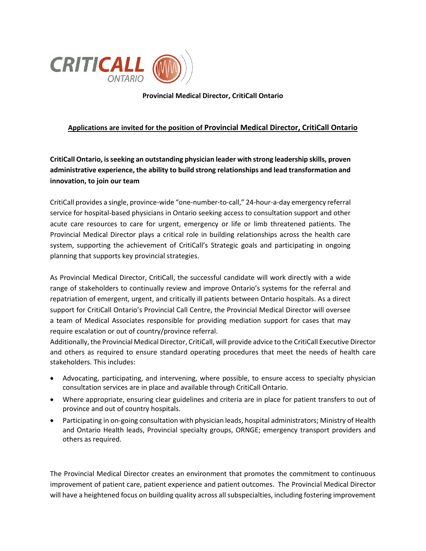

**Provincial Medical Director, CritiCall Ontario**

## **Applications are invited for the position of Provincial Medical Director, CritiCall Ontario**

**CritiCall Ontario, is seeking an outstanding physician leader with strong leadership skills, proven administrative experience, the ability to build strong relationships and lead transformation and innovation, to join our team**

CritiCall provides a single, province-wide "one-number-to-call," 24-hour-a-day emergency referral service for hospital-based physicians in Ontario seeking access to consultation support and other acute care resources to care for urgent, emergency or life or limb threatened patients. The Provincial Medical Director plays a critical role in building relationships across the health care system, supporting the achievement of CritiCall's Strategic goals and participating in ongoing planning that supports key provincial strategies.

As Provincial Medical Director, CritiCall, the successful candidate will work directly with a wide range of stakeholders to continually review and improve Ontario's systems for the referral and repatriation of emergent, urgent, and critically ill patients between Ontario hospitals. As a direct support for CritiCall Ontario's Provincial Call Centre, the Provincial Medical Director will oversee a team of Medical Associates responsible for providing mediation support for cases that may require escalation or out of country/province referral.

Additionally, the Provincial Medical Director, CritiCall, will provide advice to the CritiCall Executive Director and others as required to ensure standard operating procedures that meet the needs of health care stakeholders. This includes:

- Advocating, participating, and intervening, where possible, to ensure access to specialty physician consultation services are in place and available through CritiCall Ontario.
- Where appropriate, ensuring clear guidelines and criteria are in place for patient transfers to out of province and out of country hospitals.
- Participating in on-going consultation with physician leads, hospital administrators; Ministry of Health and Ontario Health leads, Provincial specialty groups, ORNGE; emergency transport providers and others as required.

The Provincial Medical Director creates an environment that promotes the commitment to continuous improvement of patient care, patient experience and patient outcomes. The Provincial Medical Director will have a heightened focus on building quality across all subspecialties, including fostering improvement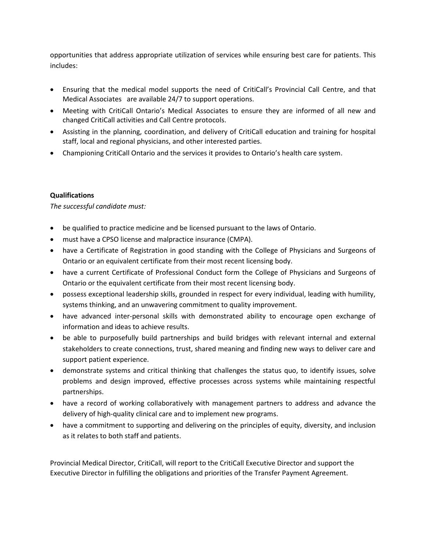opportunities that address appropriate utilization of services while ensuring best care for patients. This includes:

- Ensuring that the medical model supports the need of CritiCall's Provincial Call Centre, and that Medical Associates are available 24/7 to support operations.
- Meeting with CritiCall Ontario's Medical Associates to ensure they are informed of all new and changed CritiCall activities and Call Centre protocols.
- Assisting in the planning, coordination, and delivery of CritiCall education and training for hospital staff, local and regional physicians, and other interested parties.
- Championing CritiCall Ontario and the services it provides to Ontario's health care system.

## **Qualifications**

*The successful candidate must:*

- be qualified to practice medicine and be licensed pursuant to the laws of Ontario.
- must have a CPSO license and malpractice insurance (CMPA).
- have a Certificate of Registration in good standing with the College of Physicians and Surgeons of Ontario or an equivalent certificate from their most recent licensing body.
- have a current Certificate of Professional Conduct form the College of Physicians and Surgeons of Ontario or the equivalent certificate from their most recent licensing body.
- possess exceptional leadership skills, grounded in respect for every individual, leading with humility, systems thinking, and an unwavering commitment to quality improvement.
- have advanced inter-personal skills with demonstrated ability to encourage open exchange of information and ideas to achieve results.
- be able to purposefully build partnerships and build bridges with relevant internal and external stakeholders to create connections, trust, shared meaning and finding new ways to deliver care and support patient experience.
- demonstrate systems and critical thinking that challenges the status quo, to identify issues, solve problems and design improved, effective processes across systems while maintaining respectful partnerships.
- have a record of working collaboratively with management partners to address and advance the delivery of high-quality clinical care and to implement new programs.
- have a commitment to supporting and delivering on the principles of equity, diversity, and inclusion as it relates to both staff and patients.

Provincial Medical Director, CritiCall, will report to the CritiCall Executive Director and support the Executive Director in fulfilling the obligations and priorities of the Transfer Payment Agreement.